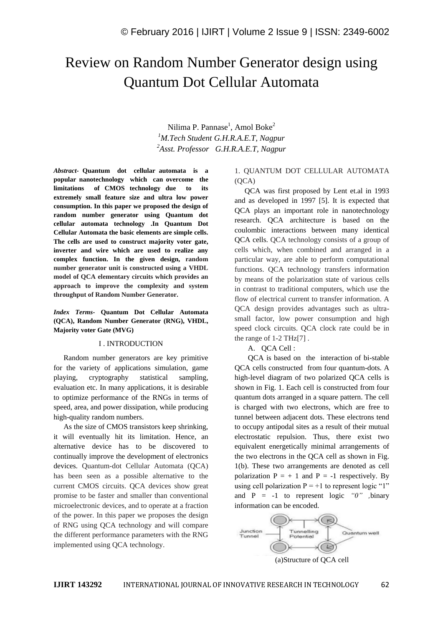# Review on Random Number Generator design using Quantum Dot Cellular Automata

Nilima P. Pannase<sup>1</sup>, Amol Boke<sup>2</sup> *<sup>1</sup>M.Tech Student G.H.R.A.E.T, Nagpur <sup>2</sup>Asst. Professor G.H.R.A.E.T, Nagpur*

*Abstract-* **Quantum dot cellular automata is a popular nanotechnology which can overcome the limitations of CMOS technology due to its extremely small feature size and ultra low power consumption. In this paper we proposed the design of random number generator using Quantum dot cellular automata technology .In Quantum Dot Cellular Automata the basic elements are simple cells. The cells are used to construct majority voter gate, inverter and wire which are used to realize any complex function. In the given design, random number generator unit is constructed using a VHDL model of QCA elementary circuits which provides an approach to improve the complexity and system throughput of Random Number Generator.**

#### *Index Terms-* **Quantum Dot Cellular Automata (QCA), Random Number Generator (RNG), VHDL, Majority voter Gate (MVG)**

#### I . INTRODUCTION

Random number generators are key primitive for the variety of applications simulation, game playing, cryptography statistical sampling, evaluation etc. In many applications, it is desirable to optimize performance of the RNGs in terms of speed, area, and power dissipation, while producing high-quality random numbers.

As the size of CMOS transistors keep shrinking, it will eventually hit its limitation. Hence, an alternative device has to be discovered to continually improve the development of electronics devices. Quantum-dot Cellular Automata (QCA) has been seen as a possible alternative to the current CMOS circuits. QCA devices show great promise to be faster and smaller than conventional microelectronic devices, and to operate at a fraction of the power. In this paper we proposes the design of RNG using QCA technology and will compare the different performance parameters with the RNG implemented using QCA technology.

## 1. QUANTUM DOT CELLULAR AUTOMATA  $(OCA)$

QCA was first proposed by Lent et.al in 1993 and as developed in 1997 [5]. It is expected that QCA plays an important role in nanotechnology research. QCA architecture is based on the coulombic interactions between many identical QCA cells. QCA technology consists of a group of cells which, when combined and arranged in a particular way, are able to perform computational functions. QCA technology transfers information by means of the polarization state of various cells in contrast to traditional computers, which use the flow of electrical current to transfer information. A QCA design provides advantages such as ultrasmall factor, low power consumption and high speed clock circuits. QCA clock rate could be in the range of 1-2 THz[7] .

### A. QCA Cell :

QCA is based on the interaction of bi-stable QCA cells constructed from four quantum-dots. A high-level diagram of two polarized QCA cells is shown in Fig. 1. Each cell is constructed from four quantum dots arranged in a square pattern. The cell is charged with two electrons, which are free to tunnel between adjacent dots. These electrons tend to occupy antipodal sites as a result of their mutual electrostatic repulsion. Thus, there exist two equivalent energetically minimal arrangements of the two electrons in the QCA cell as shown in Fig. 1(b). These two arrangements are denoted as cell polarization  $P = + 1$  and  $P = -1$  respectively. By using cell polarization  $P = +1$  to represent logic "1" and P = -1 to represent logic *"0" ,*binary information can be encoded.



(a)Structure of QCA cell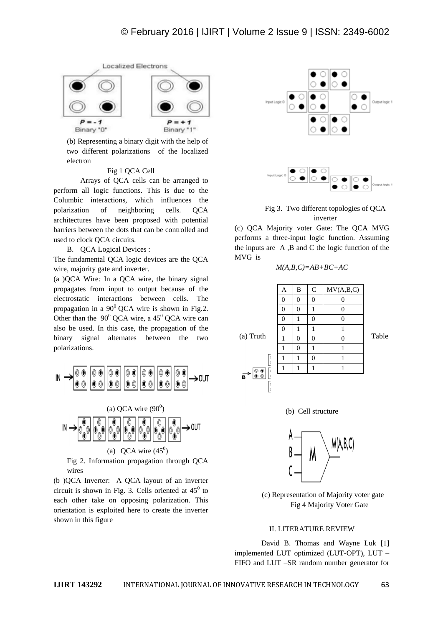

(b) Representing a binary digit with the help of two different polarizations of the localized electron

#### Fig 1 QCA Cell

Arrays of QCA cells can be arranged to perform all logic functions. This is due to the Columbic interactions, which influences the polarization of neighboring cells. QCA architectures have been proposed with potential barriers between the dots that can be controlled and used to clock QCA circuits.

B. QCA Logical Devices :

The fundamental QCA logic devices are the QCA wire, majority gate and inverter.

(a )QCA Wire*:* In a QCA wire, the binary signal propagates from input to output because of the electrostatic interactions between cells. The propagation in a  $90^{\circ}$  OCA wire is shown in Fig.2. Other than the  $90^{\circ}$  QCA wire, a 45<sup>°</sup> QCA wire can also be used. In this case, the propagation of the binary signal alternates between the two polarizations.





Fig 2. Information propagation through QCA wires

(b )QCA Inverter:A QCA layout of an inverter circuit is shown in Fig. 3. Cells oriented at  $45^{\circ}$  to each other take on opposing polarization. This orientation is exploited here to create the inverter shown in this figure



Fig 3. Two different topologies of QCA inverter

(c) QCA Majority voter Gate: The QCA MVG performs a three-input logic function. Assuming the inputs are A ,B and C the logic function of the MVG is

$$
M(A,B,C)=AB+BC+AC
$$

| A | B | C | MV(A,B,C) |
|---|---|---|-----------|
| 0 | 0 | 0 | 0         |
| 0 | 0 | 1 | 0         |
| 0 | 1 | 0 | 0         |
| 0 | 1 | 1 | 1         |
| 0 | 1 | 1 | 1         |
| 1 | 0 | 0 | 0         |
| 1 | 0 | 1 | 1         |

\n
$$
\begin{bmatrix} \frac{1}{2} & \frac{1}{2} & \frac{1}{2} & \frac{1}{2} & \frac{1}{2} \\ \frac{1}{2} & \frac{1}{2} & \frac{1}{2} & \frac{1}{2} & \frac{1}{2} \\ \frac{1}{2} & \frac{1}{2} & \frac{1}{2} & \frac{1}{2} & \frac{1}{2} \\ \frac{1}{2} & \frac{1}{2} & \frac{1}{2} & \frac{1}{2} & \frac{1}{2} & \frac{1}{2} \\ \frac{1}{2} & \frac{1}{2} & \frac{1}{2} & \frac{1}{2} & \frac{1}{2} & \frac{1}{2} & \frac{1}{2} \\ \frac{1}{2} & \frac{1}{2} & \frac{1}{2} & \frac{1}{2} & \frac{1}{2} & \frac{1}{2} & \frac{1}{2} & \frac{1}{2} & \frac{1}{2} \\ \frac{1}{2} & \frac{1}{2} & \frac{1}{2} & \frac{1}{2} & \frac{1}{2} & \frac{1}{2} & \frac{1}{2} & \frac{1}{2} & \frac{1}{2} & \frac{1}{2} & \
$$





(c) Representation of Majority voter gate Fig 4 Majority Voter Gate

#### II. LITERATURE REVIEW

David B. Thomas and Wayne Luk [1] implemented LUT optimized (LUT-OPT), LUT – FIFO and LUT –SR random number generator for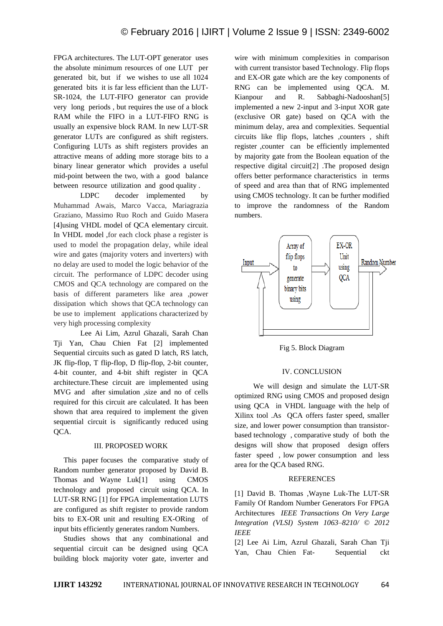FPGA architectures. The LUT-OPT generator uses the absolute minimum resources of one LUT per generated bit, but if we wishes to use all 1024 generated bits it is far less efficient than the LUT-SR-1024, the LUT-FIFO generator can provide very long periods , but requires the use of a block RAM while the FIFO in a LUT-FIFO RNG is usually an expensive block RAM. In new LUT-SR generator LUTs are configured as shift registers. Configuring LUTs as shift registers provides an attractive means of adding more storage bits to a binary linear generator which provides a useful mid-point between the two, with a good balance between resource utilization and good quality .

LDPC decoder implemented by Muhammad Awais, Marco Vacca, Mariagrazia Graziano, Massimo Ruo Roch and Guido Masera [4]using VHDL model of QCA elementary circuit. In VHDL model ,for each clock phase a register is used to model the propagation delay, while ideal wire and gates (majority voters and inverters) with no delay are used to model the logic behavior of the circuit. The performance of LDPC decoder using CMOS and QCA technology are compared on the basis of different parameters like area ,power dissipation which shows that QCA technology can be use to implement applications characterized by very high processing complexity

Lee Ai Lim, Azrul Ghazali, Sarah Chan Tji Yan, Chau Chien Fat [2] implemented Sequential circuits such as gated D latch, RS latch, JK flip-flop, T flip-flop, D flip-flop, 2-bit counter, 4-bit counter, and 4-bit shift register in QCA architecture.These circuit are implemented using MVG and after simulation ,size and no of cells required for this circuit are calculated. It has been shown that area required to implement the given sequential circuit is significantly reduced using QCA.

#### III. PROPOSED WORK

This paper focuses the comparative study of Random number generator proposed by David B. Thomas and Wayne Luk[1] using CMOS technology and proposed circuit using QCA. In LUT-SR RNG [1] for FPGA implementation LUTS are configured as shift register to provide random bits to EX-OR unit and resulting EX-ORing of input bits efficiently generates random Numbers.

Studies shows that any combinational and sequential circuit can be designed using QCA building block majority voter gate, inverter and

wire with minimum complexities in comparison with current transistor based Technology. Flip flops and EX-OR gate which are the key components of RNG can be implemented using QCA. M. Kianpour and R. Sabbaghi-Nadooshan[5] implemented a new 2-input and 3-input XOR gate (exclusive OR gate) based on QCA with the minimum delay, area and complexities. Sequential circuits like flip flops, latches ,counters , shift register ,counter can be efficiently implemented by majority gate from the Boolean equation of the respective digital circuit[2] .The proposed design offers better performance characteristics in terms of speed and area than that of RNG implemented using CMOS technology. It can be further modified to improve the randomness of the Random numbers.



Fig 5. Block Diagram

#### IV. CONCLUSION

 We will design and simulate the LUT-SR optimized RNG using CMOS and proposed design using QCA in VHDL language with the help of Xilinx tool .As QCA offers faster speed, smaller size, and lower power consumption than transistorbased technology , comparative study of both the designs will show that proposed design offers faster speed , low power consumption and less area for the QCA based RNG.

#### **REFERENCES**

[1] David B. Thomas ,Wayne Luk-The LUT-SR Family Of Random Number Generators For FPGA Architectures *IEEE Transactions On Very Large Integration (VLSI) System 1063–8210/ © 2012 IEEE*

[2] Lee Ai Lim, Azrul Ghazali, Sarah Chan Tji Yan, Chau Chien Fat- Sequential ckt